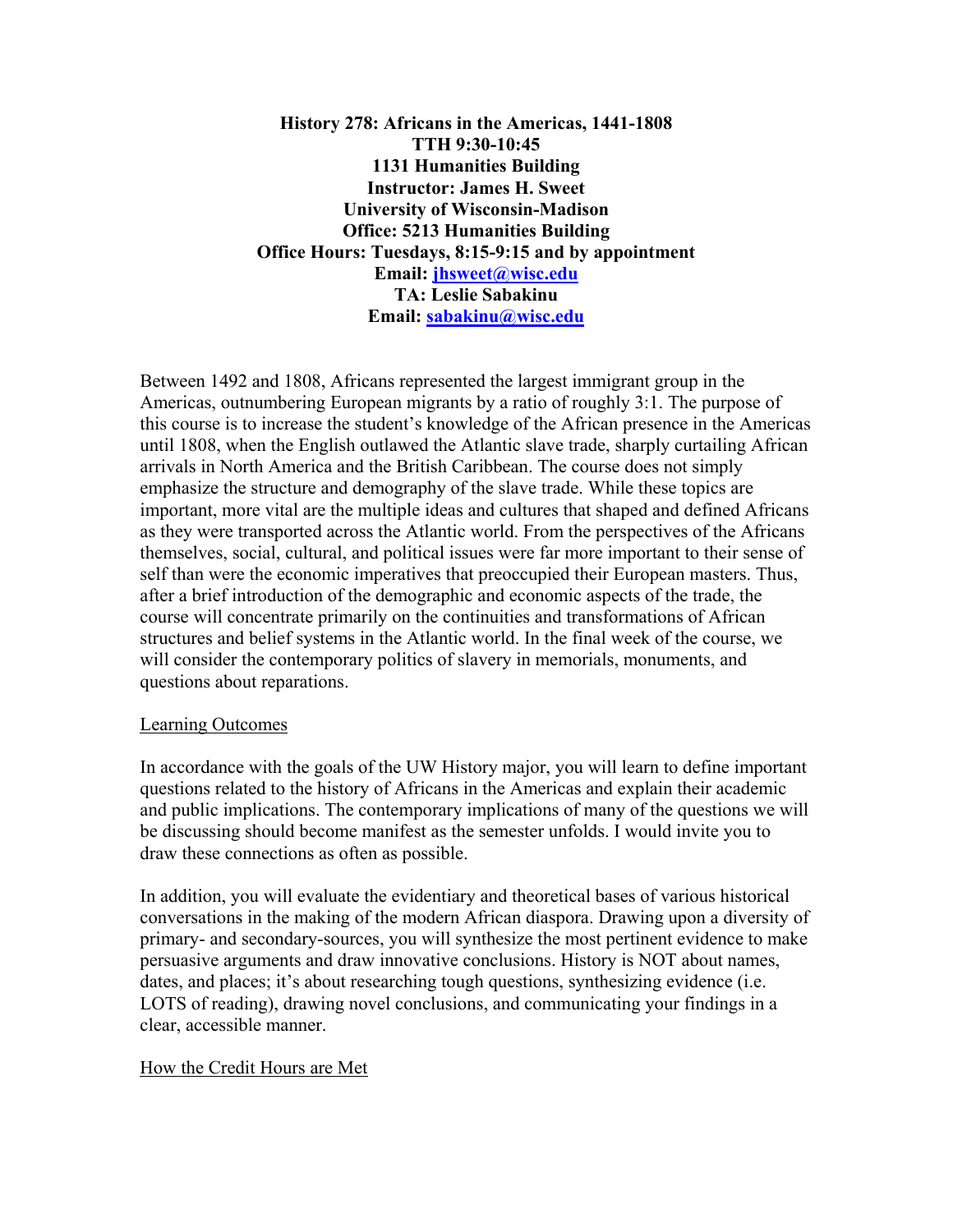**History 278: Africans in the Americas, 1441-1808 TTH 9:30-10:45 1131 Humanities Building Instructor: James H. Sweet University of Wisconsin-Madison Office: 5213 Humanities Building Office Hours: Tuesdays, 8:15-9:15 and by appointment Email: jhsweet@wisc.edu TA: Leslie Sabakinu Email: sabakinu@wisc.edu**

Between 1492 and 1808, Africans represented the largest immigrant group in the Americas, outnumbering European migrants by a ratio of roughly 3:1. The purpose of this course is to increase the student's knowledge of the African presence in the Americas until 1808, when the English outlawed the Atlantic slave trade, sharply curtailing African arrivals in North America and the British Caribbean. The course does not simply emphasize the structure and demography of the slave trade. While these topics are important, more vital are the multiple ideas and cultures that shaped and defined Africans as they were transported across the Atlantic world. From the perspectives of the Africans themselves, social, cultural, and political issues were far more important to their sense of self than were the economic imperatives that preoccupied their European masters. Thus, after a brief introduction of the demographic and economic aspects of the trade, the course will concentrate primarily on the continuities and transformations of African structures and belief systems in the Atlantic world. In the final week of the course, we will consider the contemporary politics of slavery in memorials, monuments, and questions about reparations.

## Learning Outcomes

In accordance with the goals of the UW History major, you will learn to define important questions related to the history of Africans in the Americas and explain their academic and public implications. The contemporary implications of many of the questions we will be discussing should become manifest as the semester unfolds. I would invite you to draw these connections as often as possible.

In addition, you will evaluate the evidentiary and theoretical bases of various historical conversations in the making of the modern African diaspora. Drawing upon a diversity of primary- and secondary-sources, you will synthesize the most pertinent evidence to make persuasive arguments and draw innovative conclusions. History is NOT about names, dates, and places; it's about researching tough questions, synthesizing evidence (i.e. LOTS of reading), drawing novel conclusions, and communicating your findings in a clear, accessible manner.

## How the Credit Hours are Met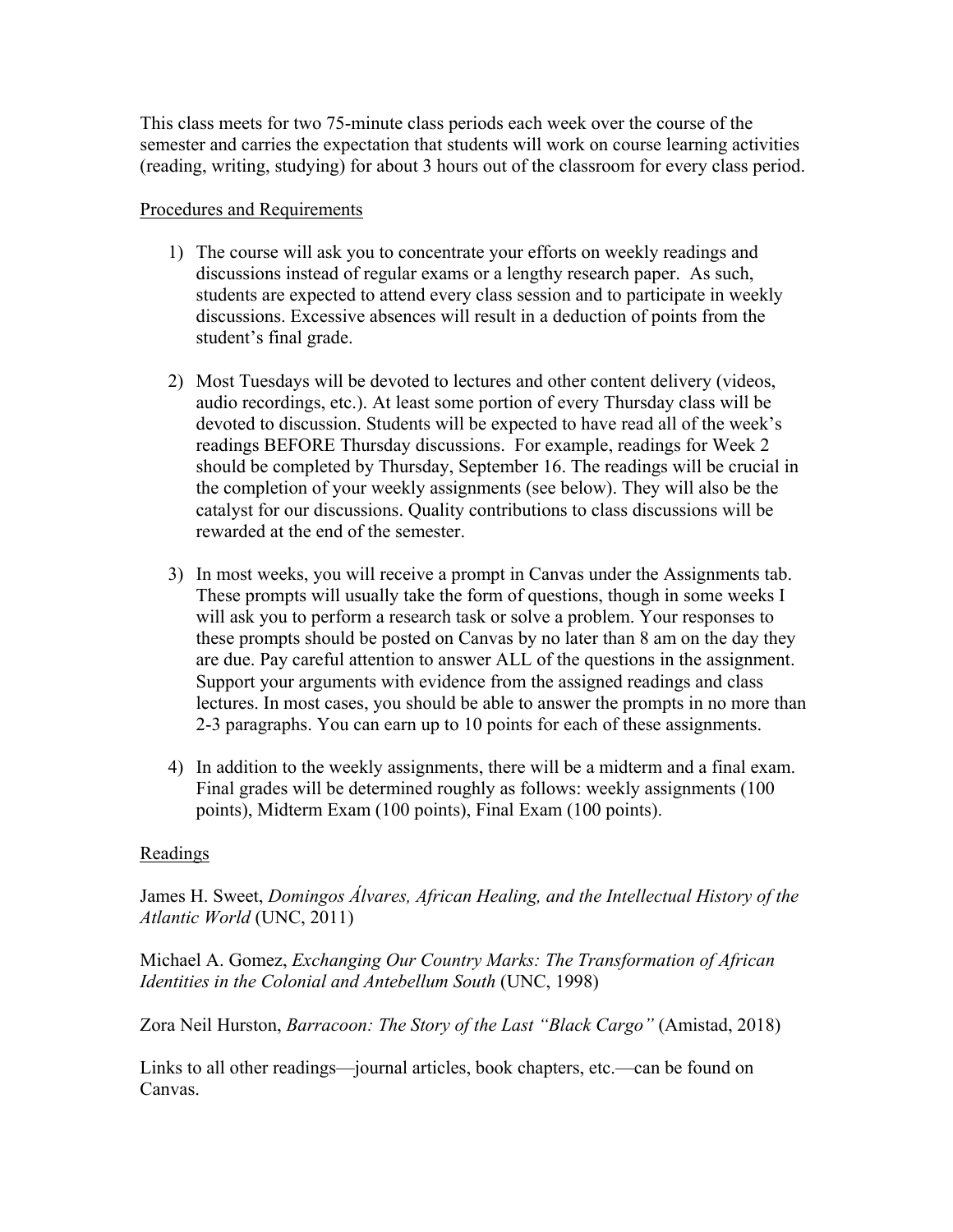This class meets for two 75-minute class periods each week over the course of the semester and carries the expectation that students will work on course learning activities (reading, writing, studying) for about 3 hours out of the classroom for every class period.

## Procedures and Requirements

- 1) The course will ask you to concentrate your efforts on weekly readings and discussions instead of regular exams or a lengthy research paper. As such, students are expected to attend every class session and to participate in weekly discussions. Excessive absences will result in a deduction of points from the student's final grade.
- 2) Most Tuesdays will be devoted to lectures and other content delivery (videos, audio recordings, etc.). At least some portion of every Thursday class will be devoted to discussion. Students will be expected to have read all of the week's readings BEFORE Thursday discussions. For example, readings for Week 2 should be completed by Thursday, September 16. The readings will be crucial in the completion of your weekly assignments (see below). They will also be the catalyst for our discussions. Quality contributions to class discussions will be rewarded at the end of the semester.
- 3) In most weeks, you will receive a prompt in Canvas under the Assignments tab. These prompts will usually take the form of questions, though in some weeks I will ask you to perform a research task or solve a problem. Your responses to these prompts should be posted on Canvas by no later than 8 am on the day they are due. Pay careful attention to answer ALL of the questions in the assignment. Support your arguments with evidence from the assigned readings and class lectures. In most cases, you should be able to answer the prompts in no more than 2-3 paragraphs. You can earn up to 10 points for each of these assignments.
- 4) In addition to the weekly assignments, there will be a midterm and a final exam. Final grades will be determined roughly as follows: weekly assignments (100 points), Midterm Exam (100 points), Final Exam (100 points).

## Readings

James H. Sweet, *Domingos Álvares, African Healing, and the Intellectual History of the Atlantic World* (UNC, 2011)

Michael A. Gomez, *Exchanging Our Country Marks: The Transformation of African Identities in the Colonial and Antebellum South* (UNC, 1998)

Zora Neil Hurston, *Barracoon: The Story of the Last "Black Cargo"* (Amistad, 2018)

Links to all other readings—journal articles, book chapters, etc.—can be found on Canvas.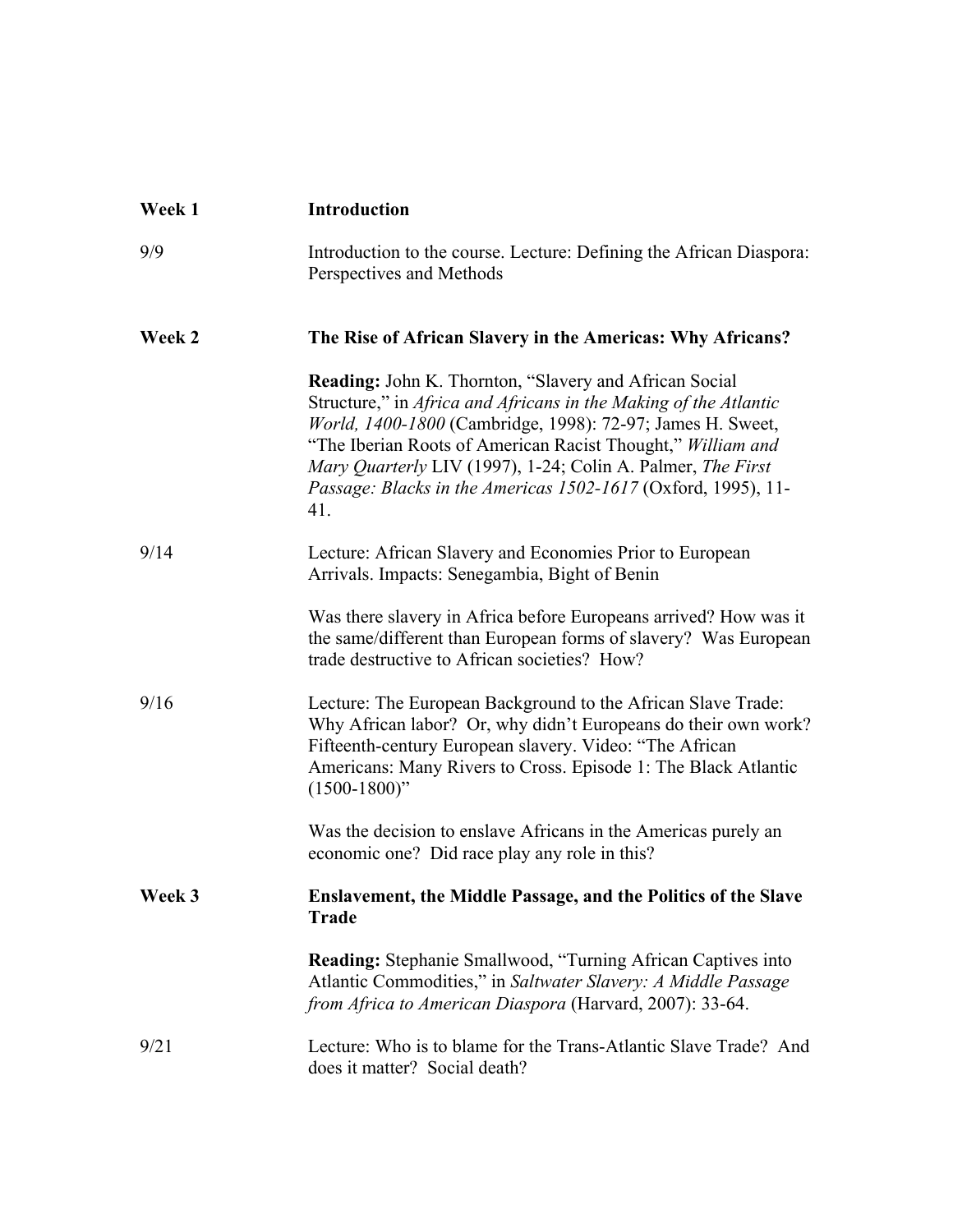| Week 1 | <b>Introduction</b>                                                                                                                                                                                                                                                                                                                                                                            |
|--------|------------------------------------------------------------------------------------------------------------------------------------------------------------------------------------------------------------------------------------------------------------------------------------------------------------------------------------------------------------------------------------------------|
| 9/9    | Introduction to the course. Lecture: Defining the African Diaspora:<br>Perspectives and Methods                                                                                                                                                                                                                                                                                                |
| Week 2 | The Rise of African Slavery in the Americas: Why Africans?                                                                                                                                                                                                                                                                                                                                     |
|        | Reading: John K. Thornton, "Slavery and African Social<br>Structure," in Africa and Africans in the Making of the Atlantic<br>World, 1400-1800 (Cambridge, 1998): 72-97; James H. Sweet,<br>"The Iberian Roots of American Racist Thought," William and<br>Mary Quarterly LIV (1997), 1-24; Colin A. Palmer, The First<br>Passage: Blacks in the Americas 1502-1617 (Oxford, 1995), 11-<br>41. |
| 9/14   | Lecture: African Slavery and Economies Prior to European<br>Arrivals. Impacts: Senegambia, Bight of Benin                                                                                                                                                                                                                                                                                      |
|        | Was there slavery in Africa before Europeans arrived? How was it<br>the same/different than European forms of slavery? Was European<br>trade destructive to African societies? How?                                                                                                                                                                                                            |
| 9/16   | Lecture: The European Background to the African Slave Trade:<br>Why African labor? Or, why didn't Europeans do their own work?<br>Fifteenth-century European slavery. Video: "The African<br>Americans: Many Rivers to Cross. Episode 1: The Black Atlantic<br>$(1500-1800)$ "                                                                                                                 |
|        | Was the decision to enslave Africans in the Americas purely an<br>economic one? Did race play any role in this?                                                                                                                                                                                                                                                                                |
| Week 3 | <b>Enslavement, the Middle Passage, and the Politics of the Slave</b><br><b>Trade</b>                                                                                                                                                                                                                                                                                                          |
|        | Reading: Stephanie Smallwood, "Turning African Captives into<br>Atlantic Commodities," in Saltwater Slavery: A Middle Passage<br>from Africa to American Diaspora (Harvard, 2007): 33-64.                                                                                                                                                                                                      |
| 9/21   | Lecture: Who is to blame for the Trans-Atlantic Slave Trade? And<br>does it matter? Social death?                                                                                                                                                                                                                                                                                              |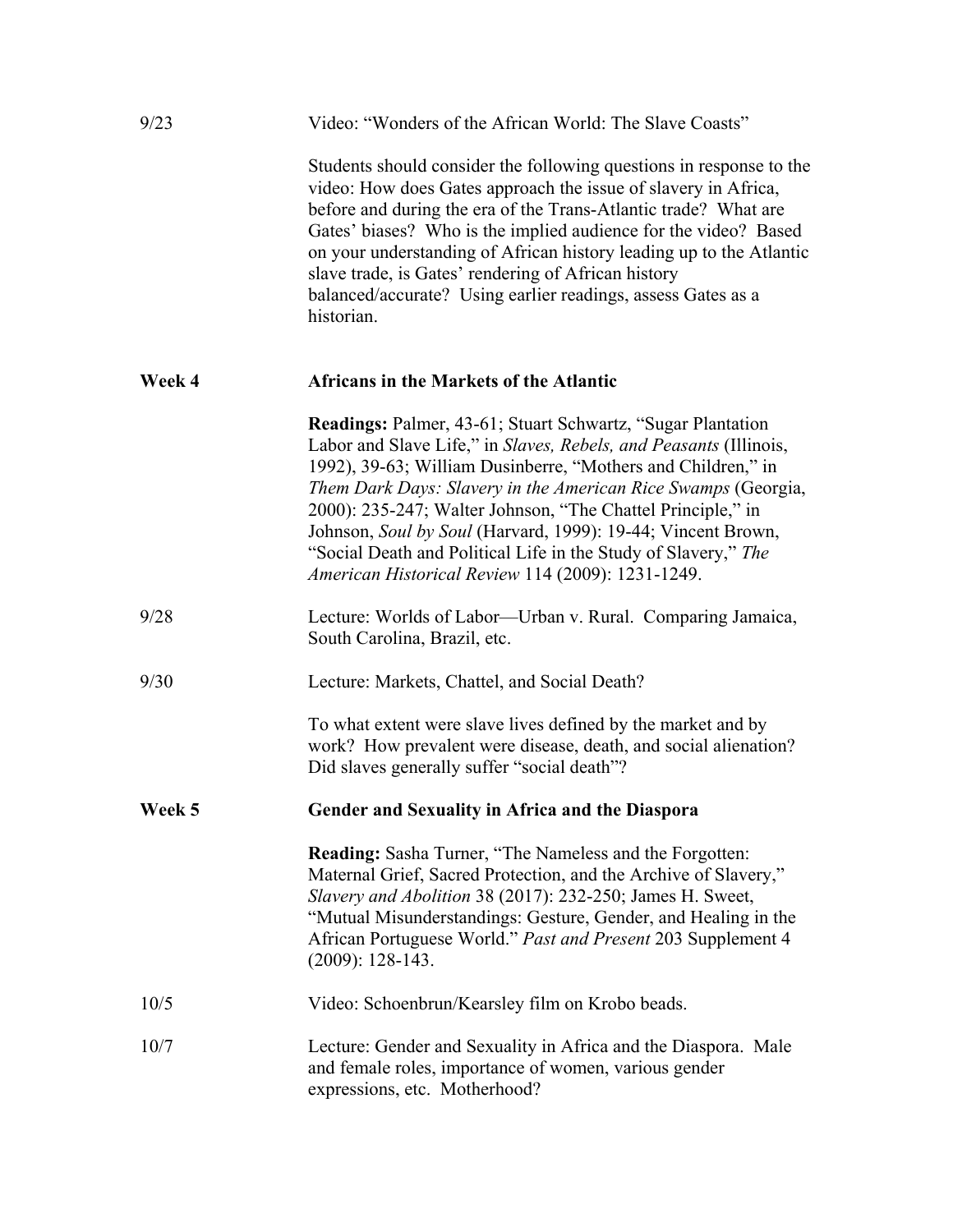| 9/23   | Video: "Wonders of the African World: The Slave Coasts"                                                                                                                                                                                                                                                                                                                                                                                                                                                                          |
|--------|----------------------------------------------------------------------------------------------------------------------------------------------------------------------------------------------------------------------------------------------------------------------------------------------------------------------------------------------------------------------------------------------------------------------------------------------------------------------------------------------------------------------------------|
|        | Students should consider the following questions in response to the<br>video: How does Gates approach the issue of slavery in Africa,<br>before and during the era of the Trans-Atlantic trade? What are<br>Gates' biases? Who is the implied audience for the video? Based<br>on your understanding of African history leading up to the Atlantic<br>slave trade, is Gates' rendering of African history<br>balanced/accurate? Using earlier readings, assess Gates as a<br>historian.                                          |
| Week 4 | Africans in the Markets of the Atlantic                                                                                                                                                                                                                                                                                                                                                                                                                                                                                          |
|        | <b>Readings: Palmer, 43-61; Stuart Schwartz, "Sugar Plantation</b> "<br>Labor and Slave Life," in Slaves, Rebels, and Peasants (Illinois,<br>1992), 39-63; William Dusinberre, "Mothers and Children," in<br>Them Dark Days: Slavery in the American Rice Swamps (Georgia,<br>2000): 235-247; Walter Johnson, "The Chattel Principle," in<br>Johnson, Soul by Soul (Harvard, 1999): 19-44; Vincent Brown,<br>"Social Death and Political Life in the Study of Slavery," The<br>American Historical Review 114 (2009): 1231-1249. |
| 9/28   | Lecture: Worlds of Labor—Urban v. Rural. Comparing Jamaica,<br>South Carolina, Brazil, etc.                                                                                                                                                                                                                                                                                                                                                                                                                                      |
| 9/30   | Lecture: Markets, Chattel, and Social Death?                                                                                                                                                                                                                                                                                                                                                                                                                                                                                     |
|        | To what extent were slave lives defined by the market and by<br>work? How prevalent were disease, death, and social alienation?<br>Did slaves generally suffer "social death"?                                                                                                                                                                                                                                                                                                                                                   |
| Week 5 | Gender and Sexuality in Africa and the Diaspora                                                                                                                                                                                                                                                                                                                                                                                                                                                                                  |
|        | <b>Reading:</b> Sasha Turner, "The Nameless and the Forgotten:<br>Maternal Grief, Sacred Protection, and the Archive of Slavery,"<br>Slavery and Abolition 38 (2017): 232-250; James H. Sweet,<br>"Mutual Misunderstandings: Gesture, Gender, and Healing in the<br>African Portuguese World." Past and Present 203 Supplement 4<br>$(2009): 128-143.$                                                                                                                                                                           |
| 10/5   | Video: Schoenbrun/Kearsley film on Krobo beads.                                                                                                                                                                                                                                                                                                                                                                                                                                                                                  |
| 10/7   | Lecture: Gender and Sexuality in Africa and the Diaspora. Male<br>and female roles, importance of women, various gender<br>expressions, etc. Motherhood?                                                                                                                                                                                                                                                                                                                                                                         |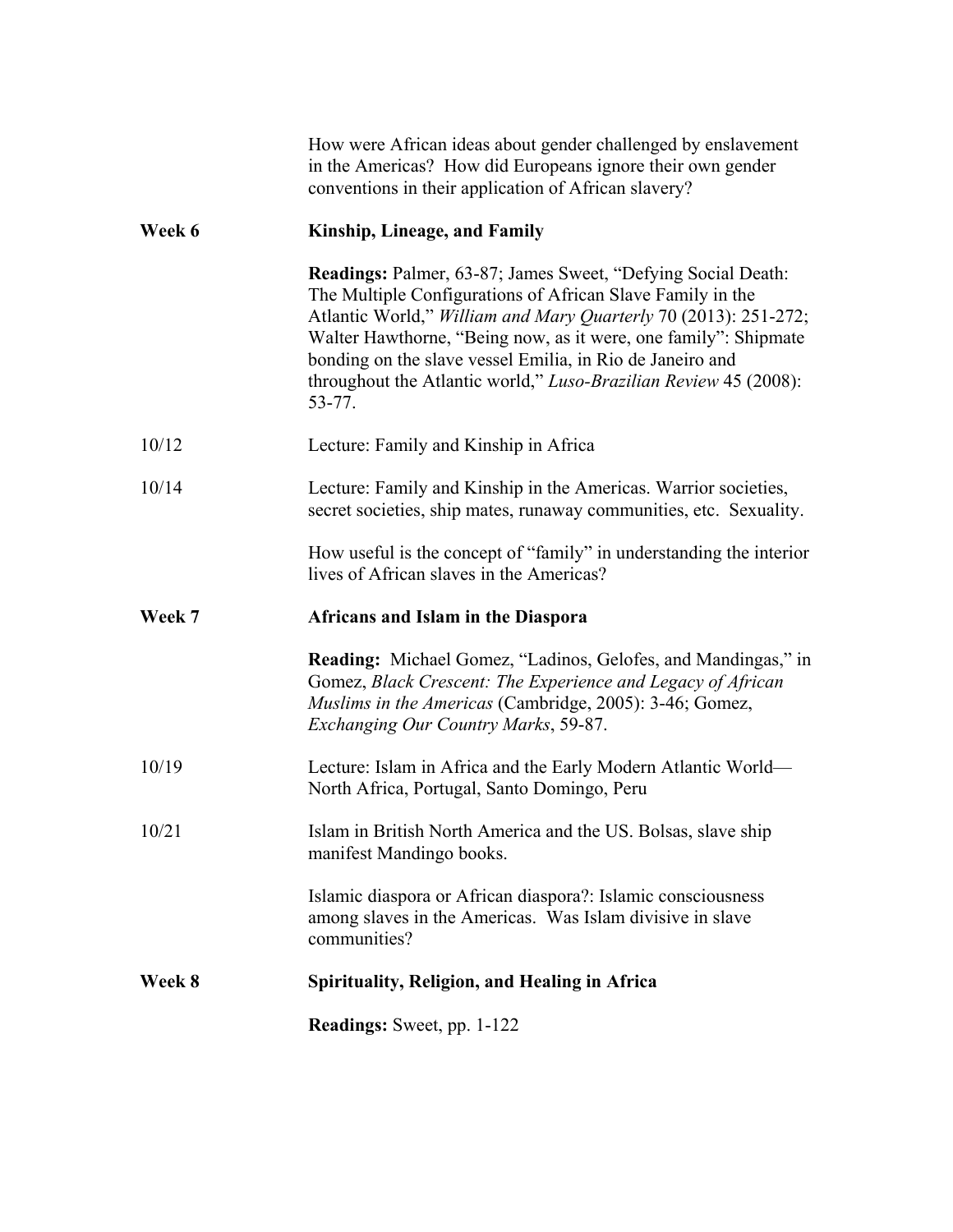|        | How were African ideas about gender challenged by enslavement<br>in the Americas? How did Europeans ignore their own gender<br>conventions in their application of African slavery?                                                                                                                                                                                                                                |
|--------|--------------------------------------------------------------------------------------------------------------------------------------------------------------------------------------------------------------------------------------------------------------------------------------------------------------------------------------------------------------------------------------------------------------------|
| Week 6 | Kinship, Lineage, and Family                                                                                                                                                                                                                                                                                                                                                                                       |
|        | <b>Readings:</b> Palmer, 63-87; James Sweet, "Defying Social Death:<br>The Multiple Configurations of African Slave Family in the<br>Atlantic World," William and Mary Quarterly 70 (2013): 251-272;<br>Walter Hawthorne, "Being now, as it were, one family": Shipmate<br>bonding on the slave vessel Emilia, in Rio de Janeiro and<br>throughout the Atlantic world," Luso-Brazilian Review 45 (2008):<br>53-77. |
| 10/12  | Lecture: Family and Kinship in Africa                                                                                                                                                                                                                                                                                                                                                                              |
| 10/14  | Lecture: Family and Kinship in the Americas. Warrior societies,<br>secret societies, ship mates, runaway communities, etc. Sexuality.                                                                                                                                                                                                                                                                              |
|        | How useful is the concept of "family" in understanding the interior<br>lives of African slaves in the Americas?                                                                                                                                                                                                                                                                                                    |
| Week 7 | Africans and Islam in the Diaspora                                                                                                                                                                                                                                                                                                                                                                                 |
|        | <b>Reading:</b> Michael Gomez, "Ladinos, Gelofes, and Mandingas," in<br>Gomez, Black Crescent: The Experience and Legacy of African<br>Muslims in the Americas (Cambridge, 2005): 3-46; Gomez,<br>Exchanging Our Country Marks, 59-87.                                                                                                                                                                             |
| 10/19  | Lecture: Islam in Africa and the Early Modern Atlantic World—<br>North Africa, Portugal, Santo Domingo, Peru                                                                                                                                                                                                                                                                                                       |
| 10/21  | Islam in British North America and the US. Bolsas, slave ship<br>manifest Mandingo books.                                                                                                                                                                                                                                                                                                                          |
|        | Islamic diaspora or African diaspora?: Islamic consciousness<br>among slaves in the Americas. Was Islam divisive in slave<br>communities?                                                                                                                                                                                                                                                                          |
| Week 8 | <b>Spirituality, Religion, and Healing in Africa</b>                                                                                                                                                                                                                                                                                                                                                               |
|        | <b>Readings:</b> Sweet, pp. 1-122                                                                                                                                                                                                                                                                                                                                                                                  |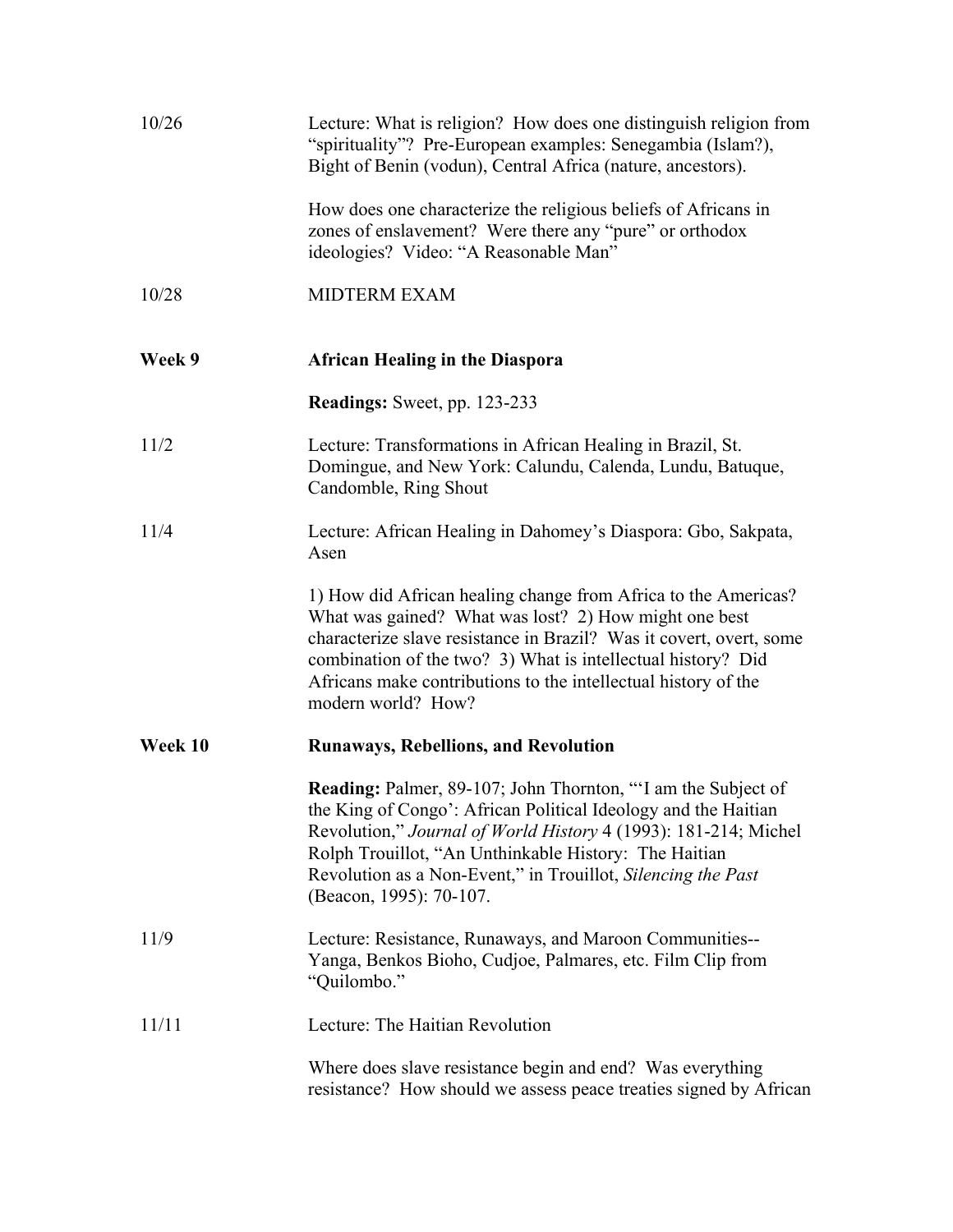| 10/26   | Lecture: What is religion? How does one distinguish religion from<br>"spirituality"? Pre-European examples: Senegambia (Islam?),<br>Bight of Benin (vodun), Central Africa (nature, ancestors).                                                                                                                                                              |
|---------|--------------------------------------------------------------------------------------------------------------------------------------------------------------------------------------------------------------------------------------------------------------------------------------------------------------------------------------------------------------|
|         | How does one characterize the religious beliefs of Africans in<br>zones of enslavement? Were there any "pure" or orthodox<br>ideologies? Video: "A Reasonable Man"                                                                                                                                                                                           |
| 10/28   | <b>MIDTERM EXAM</b>                                                                                                                                                                                                                                                                                                                                          |
| Week 9  | <b>African Healing in the Diaspora</b>                                                                                                                                                                                                                                                                                                                       |
|         | <b>Readings:</b> Sweet, pp. 123-233                                                                                                                                                                                                                                                                                                                          |
| 11/2    | Lecture: Transformations in African Healing in Brazil, St.<br>Domingue, and New York: Calundu, Calenda, Lundu, Batuque,<br>Candomble, Ring Shout                                                                                                                                                                                                             |
| 11/4    | Lecture: African Healing in Dahomey's Diaspora: Gbo, Sakpata,<br>Asen                                                                                                                                                                                                                                                                                        |
|         | 1) How did African healing change from Africa to the Americas?<br>What was gained? What was lost? 2) How might one best<br>characterize slave resistance in Brazil? Was it covert, overt, some<br>combination of the two? 3) What is intellectual history? Did<br>Africans make contributions to the intellectual history of the<br>modern world? How?       |
| Week 10 | <b>Runaways, Rebellions, and Revolution</b>                                                                                                                                                                                                                                                                                                                  |
|         | <b>Reading:</b> Palmer, 89-107; John Thornton, "I am the Subject of<br>the King of Congo': African Political Ideology and the Haitian<br>Revolution," Journal of World History 4 (1993): 181-214; Michel<br>Rolph Trouillot, "An Unthinkable History: The Haitian<br>Revolution as a Non-Event," in Trouillot, Silencing the Past<br>(Beacon, 1995): 70-107. |
| 11/9    | Lecture: Resistance, Runaways, and Maroon Communities--<br>Yanga, Benkos Bioho, Cudjoe, Palmares, etc. Film Clip from<br>"Quilombo."                                                                                                                                                                                                                         |
| 11/11   | Lecture: The Haitian Revolution                                                                                                                                                                                                                                                                                                                              |
|         | Where does slave resistance begin and end? Was everything<br>resistance? How should we assess peace treaties signed by African                                                                                                                                                                                                                               |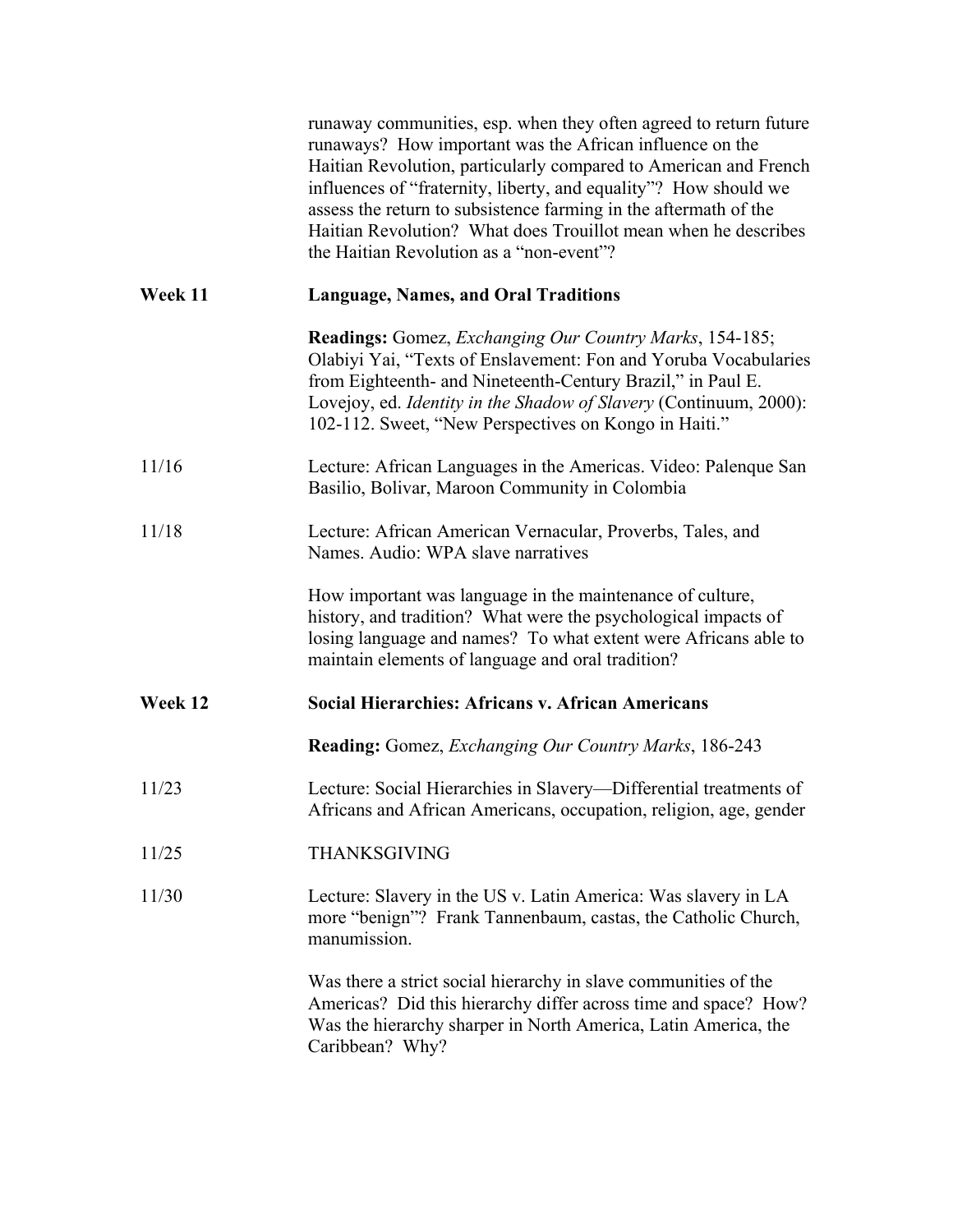|         | runaway communities, esp. when they often agreed to return future<br>runaways? How important was the African influence on the<br>Haitian Revolution, particularly compared to American and French<br>influences of "fraternity, liberty, and equality"? How should we<br>assess the return to subsistence farming in the aftermath of the<br>Haitian Revolution? What does Trouillot mean when he describes<br>the Haitian Revolution as a "non-event"? |
|---------|---------------------------------------------------------------------------------------------------------------------------------------------------------------------------------------------------------------------------------------------------------------------------------------------------------------------------------------------------------------------------------------------------------------------------------------------------------|
| Week 11 | <b>Language, Names, and Oral Traditions</b>                                                                                                                                                                                                                                                                                                                                                                                                             |
|         | <b>Readings:</b> Gomez, <i>Exchanging Our Country Marks</i> , 154-185;<br>Olabiyi Yai, "Texts of Enslavement: Fon and Yoruba Vocabularies<br>from Eighteenth- and Nineteenth-Century Brazil," in Paul E.<br>Lovejoy, ed. Identity in the Shadow of Slavery (Continuum, 2000):<br>102-112. Sweet, "New Perspectives on Kongo in Haiti."                                                                                                                  |
| 11/16   | Lecture: African Languages in the Americas. Video: Palenque San<br>Basilio, Bolivar, Maroon Community in Colombia                                                                                                                                                                                                                                                                                                                                       |
| 11/18   | Lecture: African American Vernacular, Proverbs, Tales, and<br>Names. Audio: WPA slave narratives                                                                                                                                                                                                                                                                                                                                                        |
|         | How important was language in the maintenance of culture,<br>history, and tradition? What were the psychological impacts of<br>losing language and names? To what extent were Africans able to<br>maintain elements of language and oral tradition?                                                                                                                                                                                                     |
| Week 12 | <b>Social Hierarchies: Africans v. African Americans</b>                                                                                                                                                                                                                                                                                                                                                                                                |
|         | <b>Reading:</b> Gomez, <i>Exchanging Our Country Marks</i> , 186-243                                                                                                                                                                                                                                                                                                                                                                                    |
| 11/23   | Lecture: Social Hierarchies in Slavery-Differential treatments of<br>Africans and African Americans, occupation, religion, age, gender                                                                                                                                                                                                                                                                                                                  |
| 11/25   | THANKSGIVING                                                                                                                                                                                                                                                                                                                                                                                                                                            |
| 11/30   | Lecture: Slavery in the US v. Latin America: Was slavery in LA<br>more "benign"? Frank Tannenbaum, castas, the Catholic Church,<br>manumission.                                                                                                                                                                                                                                                                                                         |
|         | Was there a strict social hierarchy in slave communities of the<br>Americas? Did this hierarchy differ across time and space? How?<br>Was the hierarchy sharper in North America, Latin America, the<br>Caribbean? Why?                                                                                                                                                                                                                                 |